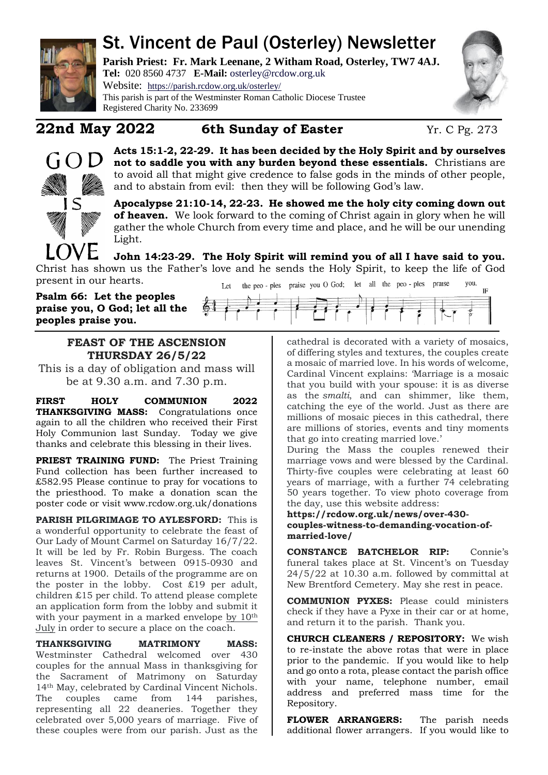

# St. Vincent de Paul (Osterley) Newsletter

**Parish Priest: Fr. Mark Leenane, 2 Witham Road, Osterley, TW7 4AJ. Tel:** 020 8560 4737 **E-Mail:** [osterley@rcdow.org.uk](mailto:osterley@rcdow.org.uk)

Website: <https://parish.rcdow.org.uk/osterley/> This parish is part of the Westminster Roman Catholic Diocese Trustee Registered Charity No. 233699



## **22nd May 2022 6th Sunday of Easter** Yr. C Pg. 273



**Acts 15:1-2, 22-29. It has been decided by the Holy Spirit and by ourselves not to saddle you with any burden beyond these essentials.** Christians are to avoid all that might give credence to false gods in the minds of other people, and to abstain from evil: then they will be following God's law.

**Apocalypse 21:10-14, 22-23. He showed me the holy city coming down out of heaven.** We look forward to the coming of Christ again in glory when he will gather the whole Church from every time and place, and he will be our unending Light.

**John 14:23-29. The Holy Spirit will remind you of all I have said to you.**  Christ has shown us the Father's love and he sends the Holy Spirit, to keep the life of God present in our hearts.

**Psalm 66: Let the peoples praise you, O God; let all the peoples praise you.** 



### **FEAST OF THE ASCENSION THURSDAY 26/5/22**

This is a day of obligation and mass will be at 9.30 a.m. and 7.30 p.m.

**FIRST HOLY COMMUNION 2022 THANKSGIVING MASS:** Congratulations once again to all the children who received their First Holy Communion last Sunday. Today we give thanks and celebrate this blessing in their lives.

PRIEST TRAINING FUND: The Priest Training Fund collection has been further increased to £582.95 Please continue to pray for vocations to the priesthood. To make a donation scan the poster code or visit www.rcdow.org.uk/donations

**PARISH PILGRIMAGE TO AYLESFORD:** This is a wonderful opportunity to celebrate the feast of Our Lady of Mount Carmel on Saturday 16/7/22. It will be led by Fr. Robin Burgess. The coach leaves St. Vincent's between 0915-0930 and returns at 1900. Details of the programme are on the poster in the lobby. Cost £19 per adult, children £15 per child. To attend please complete an application form from the lobby and submit it with your payment in a marked envelope by 10<sup>th</sup> July in order to secure a place on the coach.

**THANKSGIVING MATRIMONY MASS:**  Westminster Cathedral welcomed over 430 couples for the annual Mass in thanksgiving for the Sacrament of Matrimony on Saturday 14th May, celebrated by Cardinal Vincent Nichols. The couples came from 144 parishes, representing all 22 deaneries. Together they celebrated over 5,000 years of marriage. Five of these couples were from our parish. Just as the cathedral is decorated with a variety of mosaics, of differing styles and textures, the couples create a mosaic of married love. In his words of welcome, Cardinal Vincent explains: 'Marriage is a mosaic that you build with your spouse: it is as diverse as the *smalti*, and can shimmer, like them, catching the eye of the world. Just as there are millions of mosaic pieces in this cathedral, there are millions of stories, events and tiny moments that go into creating married love.'

During the Mass the couples renewed their marriage vows and were blessed by the Cardinal. Thirty-five couples were celebrating at least 60 years of marriage, with a further 74 celebrating 50 years together. To view photo coverage from the day, use this website address:

**https://rcdow.org.uk/news/over-430 couples-witness-to-demanding-vocation-ofmarried-love/**

**CONSTANCE BATCHELOR RIP:** Connie's funeral takes place at St. Vincent's on Tuesday 24/5/22 at 10.30 a.m. followed by committal at New Brentford Cemetery. May she rest in peace.

**COMMUNION PYXES:** Please could ministers check if they have a Pyxe in their car or at home, and return it to the parish. Thank you.

**CHURCH CLEANERS / REPOSITORY:** We wish to re-instate the above rotas that were in place prior to the pandemic. If you would like to help and go onto a rota, please contact the parish office with your name, telephone number, email address and preferred mass time for the Repository.

**FLOWER ARRANGERS:** The parish needs additional flower arrangers. If you would like to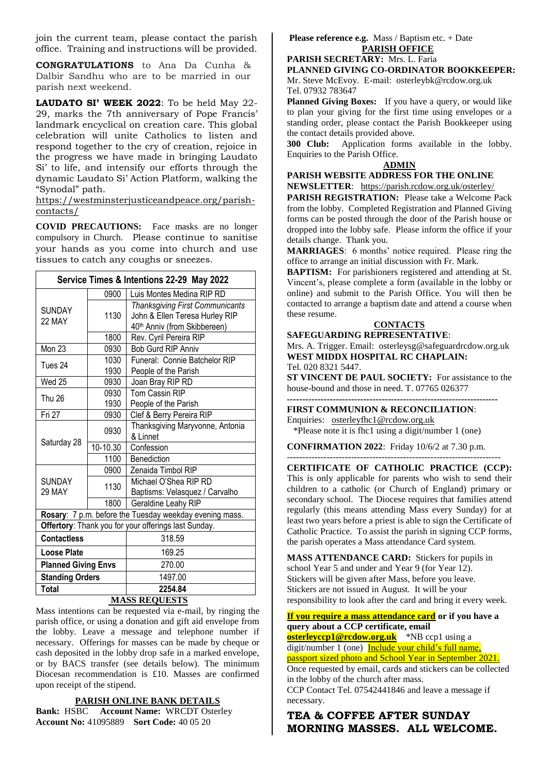join the current team, please contact the parish office. Training and instructions will be provided.

**CONGRATULATIONS** to Ana Da Cunha & Dalbir Sandhu who are to be married in our parish next weekend.

**LAUDATO SI' WEEK 2022**: To be held May 22- 29, marks the 7th anniversary of Pope Francis' landmark encyclical on creation care. This global celebration will unite Catholics to listen and respond together to the cry of creation, rejoice in the progress we have made in bringing Laudato Si' to life, and intensify our efforts through the dynamic Laudato Si' Action Platform, walking the "Synodal" path.

[https://westminsterjusticeandpeace.org/parish](https://westminsterjusticeandpeace.org/parish-contacts/)[contacts/](https://westminsterjusticeandpeace.org/parish-contacts/)

**COVID PRECAUTIONS:** Face masks are no longer compulsory in Church. Please continue to sanitise your hands as you come into church and use tissues to catch any coughs or sneezes.

| Service Times & Intentions 22-29 May 2022               |              |                                                                                                          |
|---------------------------------------------------------|--------------|----------------------------------------------------------------------------------------------------------|
| <b>SUNDAY</b><br>22 MAY                                 | 0900         | Luis Montes Medina RIP RD                                                                                |
|                                                         | 1130         | <b>Thanksgiving First Communicants</b><br>John & Ellen Teresa Hurley RIP<br>40th Anniv (from Skibbereen) |
|                                                         | 1800         | Rev. Cyril Pereira RIP                                                                                   |
| Mon 23                                                  | 0930         | <b>Bob Gurd RIP Anniv</b>                                                                                |
| Tues 24                                                 | 1030<br>1930 | Funeral: Connie Batchelor RIP<br>People of the Parish                                                    |
| Wed 25                                                  | 0930         | Joan Bray RIP RD                                                                                         |
| <b>Thu 26</b>                                           | 0930<br>1930 | Tom Cassin RIP<br>People of the Parish                                                                   |
| Fri 27                                                  | 0930         | Clef & Berry Pereira RIP                                                                                 |
| Saturday 28                                             | 0930         | Thanksgiving Maryvonne, Antonia<br>& Linnet                                                              |
|                                                         | 10-10.30     | Confession                                                                                               |
|                                                         | 1100         | Benediction                                                                                              |
| <b>SUNDAY</b><br><b>29 MAY</b>                          | 0900         | Zenaida Timbol RIP                                                                                       |
|                                                         | 1130         | Michael O'Shea RIP RD<br>Baptisms: Velasquez / Carvalho                                                  |
|                                                         | 1800         | Geraldine Leahy RIP                                                                                      |
| Rosary: 7 p.m. before the Tuesday weekday evening mass. |              |                                                                                                          |
| Offertory: Thank you for your offerings last Sunday.    |              |                                                                                                          |
| <b>Contactless</b>                                      |              | 318.59                                                                                                   |
| Loose Plate                                             |              | 169.25                                                                                                   |
| <b>Planned Giving Envs</b>                              |              | 270.00                                                                                                   |
| <b>Standing Orders</b>                                  |              | 1497.00                                                                                                  |
| <b>Total</b>                                            |              | 2254.84<br><b>MACC DEAHECTC</b>                                                                          |

#### **MASS REQUESTS**

Mass intentions can be requested via e-mail, by ringing the parish office, or using a donation and gift aid envelope from the lobby. Leave a message and telephone number if necessary. Offerings for masses can be made by cheque or cash deposited in the lobby drop safe in a marked envelope, or by BACS transfer (see details below). The minimum Diocesan recommendation is £10. Masses are confirmed upon receipt of the stipend.

#### **PARISH ONLINE BANK DETAILS**

**Bank:** HSBC **Account Name:** WRCDT Osterley **Account No:** 41095889 **Sort Code:** 40 05 20

#### Please reference e.g. Mass / Baptism etc. + Date **PARISH OFFICE**

**PARISH SECRETARY:** Mrs. L. Faria

**PLANNED GIVING CO-ORDINATOR BOOKKEEPER:** 

Mr. Steve McEvoy. E-mail: [osterleybk@rcdow.org.uk](mailto:osterleybk@rcdow.org.uk)  Tel. 07932 783647

**Planned Giving Boxes:** If you have a query, or would like to plan your giving for the first time using envelopes or a standing order, please contact the Parish Bookkeeper using the contact details provided above.

**300 Club:** Application forms available in the lobby. Enquiries to the Parish Office.

#### **ADMIN**

**PARISH WEBSITE ADDRESS FOR THE ONLINE NEWSLETTER**: <https://parish.rcdow.org.uk/osterley/>

**PARISH REGISTRATION:** Please take a Welcome Pack from the lobby. Completed Registration and Planned Giving forms can be posted through the door of the Parish house or dropped into the lobby safe. Please inform the office if your details change. Thank you.

**MARRIAGES**: 6 months' notice required. Please ring the office to arrange an initial discussion with Fr. Mark.

**BAPTISM:** For parishioners registered and attending at St. Vincent's, please complete a form (available in the lobby or online) and submit to the Parish Office. You will then be contacted to arrange a baptism date and attend a course when these resume.

## **CONTACTS**

**SAFEGUARDING REPRESENTATIVE**: Mrs. A. Trigger. Email: osterleysg@safeguardrcdow.org.uk **WEST MIDDX HOSPITAL RC CHAPLAIN:**  Tel. 020 8321 5447.

**ST VINCENT DE PAUL SOCIETY:** For assistance to the house-bound and those in need. T. 07765 026377 **---------------------------------------------------------------------**

**FIRST COMMUNION & RECONCILIATION**: Enquiries: [osterleyfhc1@rcdow.org.uk](mailto:osterleyfhc1@rcdow.org.uk)  \*Please note it is fhc1 using a digit/number 1 (one)

**CONFIRMATION 2022**: Friday 10/6/2 at 7.30 p.m. ----------------------------------------------------------------------

**CERTIFICATE OF CATHOLIC PRACTICE (CCP):**  This is only applicable for parents who wish to send their children to a catholic (or Church of England) primary or secondary school. The Diocese requires that families attend regularly (this means attending Mass every Sunday) for at least two years before a priest is able to sign the Certificate of Catholic Practice. To assist the parish in signing CCP forms, the parish operates a Mass attendance Card system.

**MASS ATTENDANCE CARD:** Stickers for pupils in school Year 5 and under and Year 9 (for Year 12). Stickers will be given after Mass, before you leave. Stickers are not issued in August. It will be your responsibility to look after the card and bring it every week.

#### **If you require a mass attendance card or if you have a query about a CCP certificate, email**

**[osterleyccp1@rcdow.org.uk](mailto:osterleyccp1@rcdow.org.uk)** \*NB ccp1 using a digit/number 1 (one) **Include your child's full name**, passport sized photo and School Year in September 2021.

Once requested by email, cards and stickers can be collected in the lobby of the church after mass.

CCP Contact Tel. 07542441846 and leave a message if necessary.

#### **TEA & COFFEE AFTER SUNDAY MORNING MASSES. ALL WELCOME.**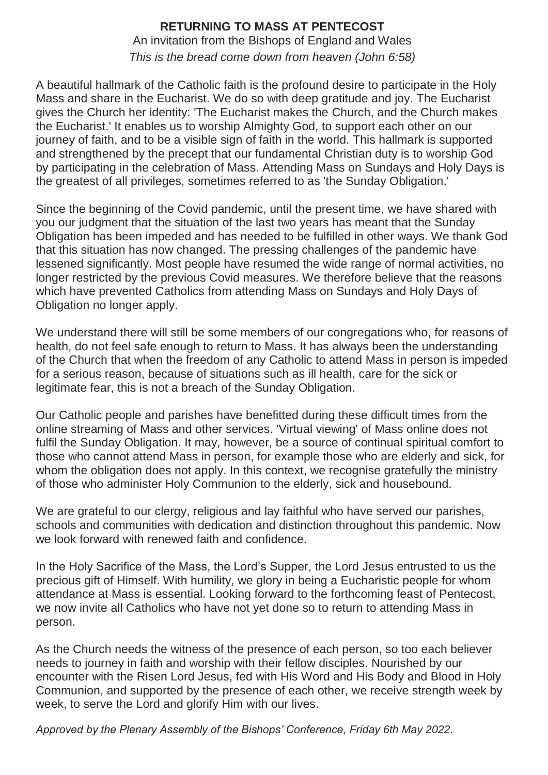## **RETURNING TO MASS AT PENTECOST**

An invitation from the Bishops of England and Wales *This is the bread come down from heaven (John 6:58)*

A beautiful hallmark of the Catholic faith is the profound desire to participate in the Holy Mass and share in the Eucharist. We do so with deep gratitude and joy. The Eucharist gives the Church her identity: 'The Eucharist makes the Church, and the Church makes the Eucharist.' It enables us to worship Almighty God, to support each other on our journey of faith, and to be a visible sign of faith in the world. This hallmark is supported and strengthened by the precept that our fundamental Christian duty is to worship God by participating in the celebration of Mass. Attending Mass on Sundays and Holy Days is the greatest of all privileges, sometimes referred to as 'the Sunday Obligation.'

Since the beginning of the Covid pandemic, until the present time, we have shared with you our judgment that the situation of the last two years has meant that the Sunday Obligation has been impeded and has needed to be fulfilled in other ways. We thank God that this situation has now changed. The pressing challenges of the pandemic have lessened significantly. Most people have resumed the wide range of normal activities, no longer restricted by the previous Covid measures. We therefore believe that the reasons which have prevented Catholics from attending Mass on Sundays and Holy Days of Obligation no longer apply.

We understand there will still be some members of our congregations who, for reasons of health, do not feel safe enough to return to Mass. It has always been the understanding of the Church that when the freedom of any Catholic to attend Mass in person is impeded for a serious reason, because of situations such as ill health, care for the sick or legitimate fear, this is not a breach of the Sunday Obligation.

Our Catholic people and parishes have benefitted during these difficult times from the online streaming of Mass and other services. 'Virtual viewing' of Mass online does not fulfil the Sunday Obligation. It may, however, be a source of continual spiritual comfort to those who cannot attend Mass in person, for example those who are elderly and sick, for whom the obligation does not apply. In this context, we recognise gratefully the ministry of those who administer Holy Communion to the elderly, sick and housebound.

We are grateful to our clergy, religious and lay faithful who have served our parishes, schools and communities with dedication and distinction throughout this pandemic. Now we look forward with renewed faith and confidence.

In the Holy Sacrifice of the Mass, the Lord's Supper, the Lord Jesus entrusted to us the precious gift of Himself. With humility, we glory in being a Eucharistic people for whom attendance at Mass is essential. Looking forward to the forthcoming feast of Pentecost, we now invite all Catholics who have not yet done so to return to attending Mass in person.

As the Church needs the witness of the presence of each person, so too each believer needs to journey in faith and worship with their fellow disciples. Nourished by our encounter with the Risen Lord Jesus, fed with His Word and His Body and Blood in Holy Communion, and supported by the presence of each other, we receive strength week by week, to serve the Lord and glorify Him with our lives.

*Approved by the Plenary Assembly of the Bishops' Conference, Friday 6th May 2022.*